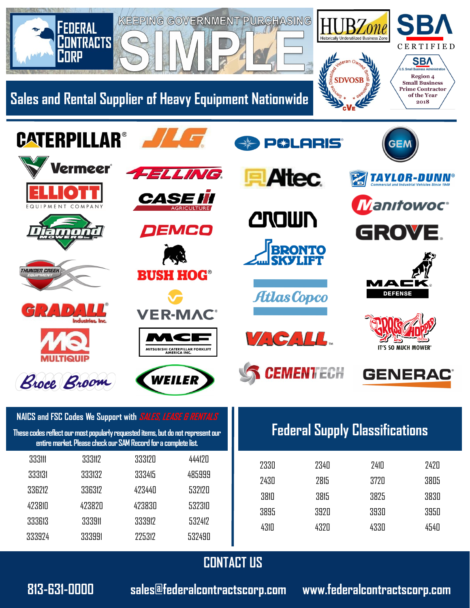

**813-631-0000 sales@federalcontractscorp.com www.federalcontractscorp.com**